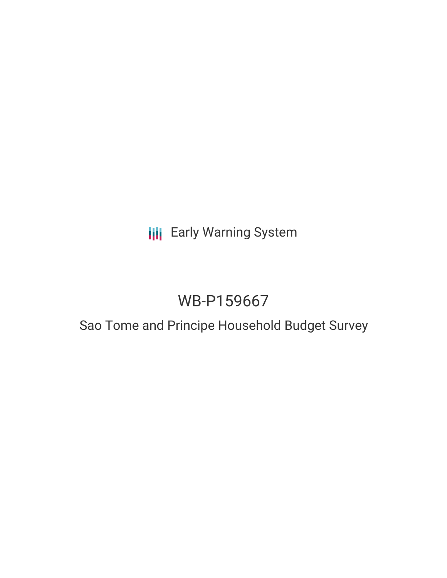## **III** Early Warning System

# WB-P159667

## Sao Tome and Principe Household Budget Survey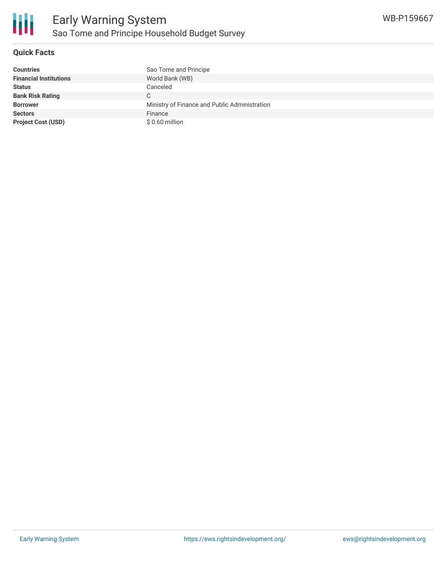

### **Quick Facts**

| <b>Countries</b>              | Sao Tome and Principe                         |
|-------------------------------|-----------------------------------------------|
| <b>Financial Institutions</b> | World Bank (WB)                               |
| <b>Status</b>                 | Canceled                                      |
| <b>Bank Risk Rating</b>       | C                                             |
| <b>Borrower</b>               | Ministry of Finance and Public Administration |
| <b>Sectors</b>                | Finance                                       |
| <b>Project Cost (USD)</b>     | \$0.60 million                                |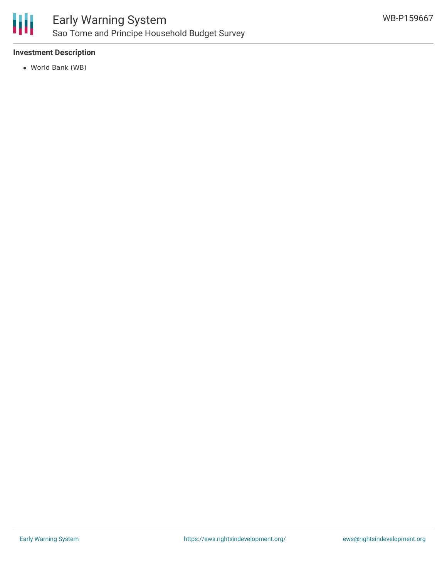

## Early Warning System Sao Tome and Principe Household Budget Survey

### **Investment Description**

World Bank (WB)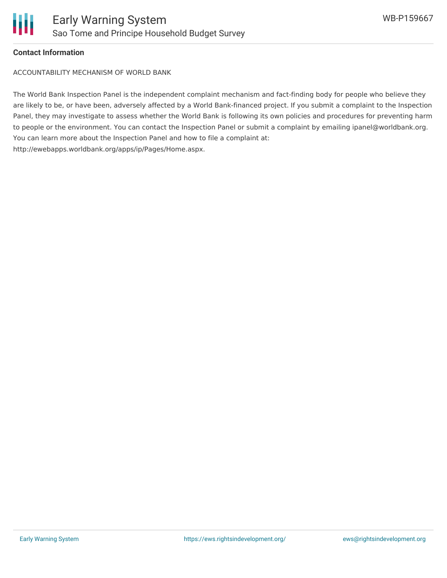

#### **Contact Information**

ACCOUNTABILITY MECHANISM OF WORLD BANK

The World Bank Inspection Panel is the independent complaint mechanism and fact-finding body for people who believe they are likely to be, or have been, adversely affected by a World Bank-financed project. If you submit a complaint to the Inspection Panel, they may investigate to assess whether the World Bank is following its own policies and procedures for preventing harm to people or the environment. You can contact the Inspection Panel or submit a complaint by emailing ipanel@worldbank.org. You can learn more about the Inspection Panel and how to file a complaint at: http://ewebapps.worldbank.org/apps/ip/Pages/Home.aspx.